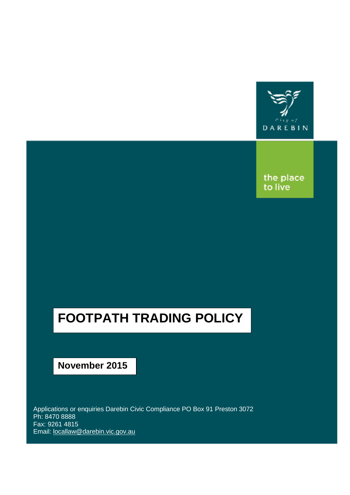

the place<br>to live

# **FOOTPATH TRADING POLICY**

## **November 2015**

Applications or enquiries Darebin Civic Compliance PO Box 91 Preston 3072 Ph: 8470 8888 Fax: 9261 4815 Email: [locallaw@darebin.vic.gov.au](mailto:locallaw@darebin.vic.gov.au)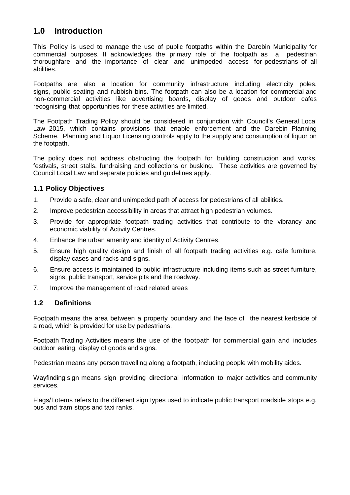## **1.0 Introduction**

This Policy is used to manage the use of public footpaths within the Darebin Municipality for commercial purposes. It acknowledges the primary role of the footpath as a pedestrian thoroughfare and the importance of clear and unimpeded access for pedestrians of all abilities.

Footpaths are also a location for community infrastructure including electricity poles, signs, public seating and rubbish bins. The footpath can also be a location for commercial and non-commercial activities like advertising boards, display of goods and outdoor cafes recognising that opportunities for these activities are limited.

The Footpath Trading Policy should be considered in conjunction with Council's General Local Law 2015, which contains provisions that enable enforcement and the Darebin Planning Scheme. Planning and Liquor Licensing controls apply to the supply and consumption of liquor on the footpath.

The policy does not address obstructing the footpath for building construction and works, festivals, street stalls, fundraising and collections or busking. These activities are governed by Council Local Law and separate policies and guidelines apply.

#### **1.1 Policy Objectives**

- 1. Provide a safe, clear and unimpeded path of access for pedestrians of all abilities.
- 2. Improve pedestrian accessibility in areas that attract high pedestrian volumes.
- 3. Provide for appropriate footpath trading activities that contribute to the vibrancy and economic viability of Activity Centres.
- 4. Enhance the urban amenity and identity of Activity Centres.
- 5. Ensure high quality design and finish of all footpath trading activities e.g. cafe furniture, display cases and racks and signs.
- 6. Ensure access is maintained to public infrastructure including items such as street furniture, signs, public transport, service pits and the roadway.
- 7. Improve the management of road related areas

#### **1.2 Definitions**

Footpath means the area between a property boundary and the face of the nearest kerbside of a road, which is provided for use by pedestrians.

Footpath Trading Activities m eans the use of the footpath for commercial gain and includes outdoor eating, display of goods and signs.

Pedestrian means any person travelling along a footpath, including people with mobility aides.

Wayfinding sign means sign providing directional information to major activities and community services.

Flags/Totems refers to the different sign types used to indicate public transport roadside stops e.g. bus and tram stops and taxi ranks.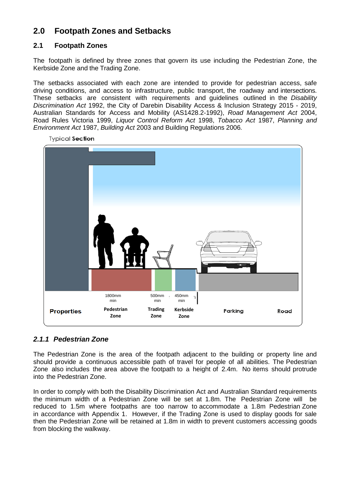## **2.0 Footpath Zones and Setbacks**

#### **2.1 Footpath Zones**

The footpath is defined by three zones that govern its use including the Pedestrian Zone, the Kerbside Zone and the Trading Zone.

The setbacks associated with each zone are intended to provide for pedestrian access, safe driving conditions, and access to infrastructure, public transport, the roadway and intersections. These setbacks are consistent with requirements and guidelines outlined in the *Disability Discrimination Act* 1992, the City of Darebin Disability Access & Inclusion Strategy 2015 - 2019, Australian Standards for Access and Mobility (AS1428.2-1992), *Road Management Act* 2004, Road Rules Victoria 1999, *Liquor Control Reform Act* 1998, *Tobacco Act* 1987, *Planning and Environment Act* 1987, *Building Act* 2003 and Building Regulations 2006*.*



**Typical Section** 

## *2.1.1 Pedestrian Zone*

The Pedestrian Zone is the area of the footpath adjacent to the building or property line and should provide a continuous accessible path of travel for people of all abilities. The Pedestrian Zone also includes the area above the footpath to a height of 2.4m. No items should protrude into the Pedestrian Zone.

In order to comply with both the Disability Discrimination Act and Australian Standard requirements the minimum width of a Pedestrian Zone will be set at 1.8m. The Pedestrian Zone will be reduced to 1.5m where footpaths are too narrow to accommodate a 1.8m Pedestrian Zone in accordance with Appendix 1. However, if the Trading Zone is used to display goods for sale then the Pedestrian Zone will be retained at 1.8m in width to prevent customers accessing goods from blocking the walkway.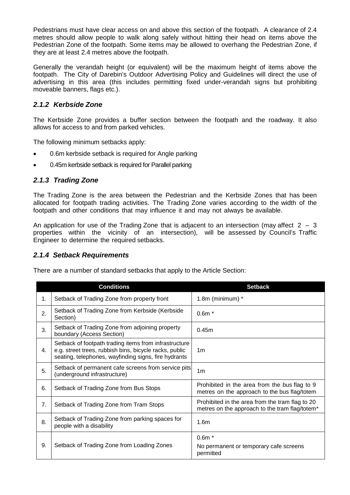Pedestrians must have clear access on and above this section of the footpath. A clearance of 2.4 metres should allow people to walk along safely without hitting their head on items above the Pedestrian Zone of the footpath. Some items may be allowed to overhang the Pedestrian Zone, if they are at least 2.4 metres above the footpath.

Generally the verandah height (or equivalent) will be the maximum height of items above the footpath. The City of Darebin's Outdoor Advertising Policy and Guidelines will direct the use of advertising in this area (this includes permitting fixed under-verandah signs but prohibiting moveable banners, flags etc.).

#### *2.1.2 Kerbside Zone*

The Kerbside Zone provides a buffer section between the footpath and the roadway. It also allows for access to and from parked vehicles.

The following minimum setbacks apply:

- 0.6m kerbside setback is required for Angle parking
- 0.45m kerbside setback is required for Parallel parking

#### *2.1.3 Trading Zone*

The Trading Zone is the area between the Pedestrian and the Kerbside Zones that has been allocated for footpath trading activities. The Trading Zone varies according to the width of the footpath and other conditions that may influence it and may not always be available.

An application for use of the Trading Zone that is adjacent to an intersection (may affect  $2 - 3$ properties within the vicinity of an intersection), will be assessed by Council's Traffic Engineer to determine the required setbacks.

#### *2.1.4 Setback Requirements*

There are a number of standard setbacks that apply to the Article Section:

|    | <b>Conditions</b>                                                                                                                                                       | <b>Setback</b>                                                                                    |  |  |
|----|-------------------------------------------------------------------------------------------------------------------------------------------------------------------------|---------------------------------------------------------------------------------------------------|--|--|
| 1. | Setback of Trading Zone from property front                                                                                                                             | 1.8 $m$ (minimum) $*$                                                                             |  |  |
| 2. | Setback of Trading Zone from Kerbside (Kerbside<br>Section)                                                                                                             | $0.6m*$                                                                                           |  |  |
| 3. | Setback of Trading Zone from adjoining property<br>boundary (Access Section)                                                                                            | 0.45m                                                                                             |  |  |
| 4. | Setback of footpath trading items from infrastructure<br>e.g. street trees, rubbish bins, bicycle racks, public<br>seating, telephones, wayfinding signs, fire hydrants | 1 <sub>m</sub>                                                                                    |  |  |
| 5. | Setback of permanent cafe screens from service pits<br>(underground infrastructure)                                                                                     | 1 <sub>m</sub>                                                                                    |  |  |
| 6. | Setback of Trading Zone from Bus Stops                                                                                                                                  | Prohibited in the area from the bus flag to 9<br>metres on the approach to the bus flag/totem     |  |  |
| 7. | Setback of Trading Zone from Tram Stops                                                                                                                                 | Prohibited in the area from the tram flag to 20<br>metres on the approach to the tram flag/totem* |  |  |
| 8. | Setback of Trading Zone from parking spaces for<br>people with a disability                                                                                             | 1.6 <sub>m</sub>                                                                                  |  |  |
| 9. | Setback of Trading Zone from Loading Zones                                                                                                                              | $0.6m*$<br>No permanent or temporary cafe screens<br>permitted                                    |  |  |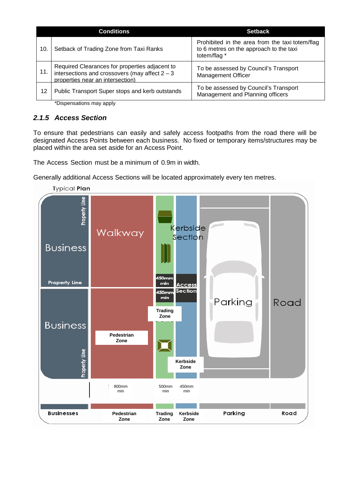|     | <b>Conditions</b>                                                                                                                      | <b>Setback</b>                                                                                             |  |  |
|-----|----------------------------------------------------------------------------------------------------------------------------------------|------------------------------------------------------------------------------------------------------------|--|--|
| 10. | Setback of Trading Zone from Taxi Ranks                                                                                                | Prohibited in the area from the taxi totem/flag<br>to 6 metres on the approach to the taxi<br>totem/flag * |  |  |
| 11. | Required Clearances for properties adjacent to<br>intersections and crossovers (may affect $2 - 3$<br>properties near an intersection) | To be assessed by Council's Transport<br><b>Management Officer</b>                                         |  |  |
| 12  | Public Transport Super stops and kerb outstands                                                                                        | To be assessed by Council's Transport<br>Management and Planning officers                                  |  |  |

\*Dispensations may apply

## *2.1.5 Access Section*

To ensure that pedestrians can easily and safely access footpaths from the road there will be designated Access Points between each business. No fixed or temporary items/structures may be placed within the area set aside for an Access Point.

The Access Section must be a minimum of 0.9m in width.

Generally additional Access Sections will be located approximately every ten metres.

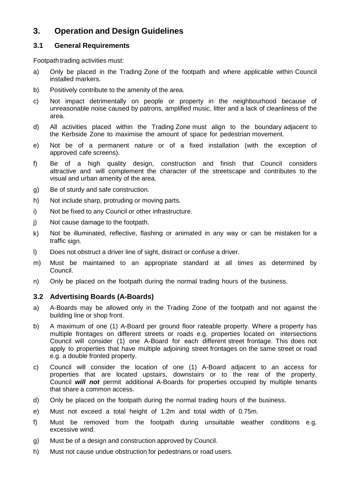## **3. Operation and Design Guidelines**

#### **3.1 General Requirements**

Footpath trading activities must:

- a) Only be placed in the Trading Zone of the footpath and where applicable within Council installed markers.
- b) Positively contribute to the amenity of the area.
- c) Not impact detrimentally on people or property in the neighbourhood because of unreasonable noise caused by patrons, amplified music, litter and a lack of cleanliness of the area.
- d) All activities placed within the Trading Zone must align to the boundary adjacent to the Kerbside Zone to maximise the amount of space for pedestrian movement.
- e) Not be of a permanent nature or of a fixed installation (with the exception of approved cafe screens).
- f) Be of a high quality design, construction and finish that Council considers attractive and will complement the character of the streetscape and contributes to the visual and urban amenity of the area.
- g) Be of sturdy and safe construction.
- h) Not include sharp, protruding or moving parts.
- i) Not be fixed to any Council or other infrastructure.
- j) Not cause damage to the footpath.
- k) Not be illuminated, reflective, flashing or animated in any way or can be mistaken for a traffic sign.
- l) Does not obstruct a driver line of sight, distract or confuse a driver.
- m) Must be maintained to an appropriate standard at all times as determined by Council.
- n) Only be placed on the footpath during the normal trading hours of the business.

#### **3.2 Advertising Boards (A-Boards)**

- a) A-Boards may be allowed only in the Trading Zone of the footpath and not against the building line or shop front.
- b) A maximum of one (1) A-Board per ground floor rateable property. Where a property has multiple frontages on different streets or roads e.g. properties located on intersections Council will consider (1) one A-Board for each different street frontage. This does not apply to properties that have multiple adjoining street frontages on the same street or road e.g. a double fronted property.
- c) Council will consider the location of one (1) A-Board adjacent to an access for properties that are located upstairs, downstairs or to the rear of the property. Council *will not* permit additional A-Boards for properties occupied by multiple tenants that share a common access.
- d) Only be placed on the footpath during the normal trading hours of the business.
- e) Must not exceed a total height of 1.2m and total width of 0.75m.
- f) Must be removed from the footpath during unsuitable weather conditions e.g. excessive wind.
- g) Must be of a design and construction approved by Council.
- h) Must not cause undue obstruction for pedestrians or road users.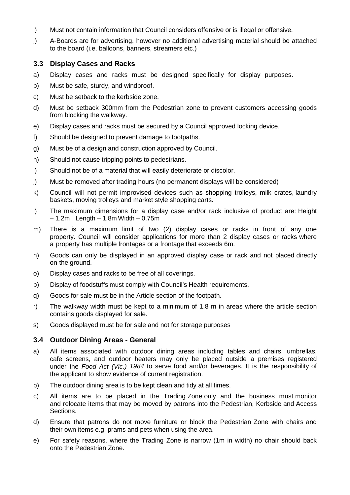- i) Must not contain information that Council considers offensive or is illegal or offensive.
- j) A-Boards are for advertising, however no additional advertising material should be attached to the board (i.e. balloons, banners, streamers etc.)

#### **3.3 Display Cases and Racks**

- a) Display cases and racks must be designed specifically for display purposes.
- b) Must be safe, sturdy, and windproof.
- c) Must be setback to the kerbside zone.
- d) Must be setback 300mm from the Pedestrian zone to prevent customers accessing goods from blocking the walkway.
- e) Display cases and racks must be secured by a Council approved locking device.
- f) Should be designed to prevent damage to footpaths.
- g) Must be of a design and construction approved by Council.
- h) Should not cause tripping points to pedestrians.
- i) Should not be of a material that will easily deteriorate or discolor.
- j) Must be removed after trading hours (no permanent displays will be considered)
- k) Council will not permit improvised devices such as shopping trolleys, milk crates, laundry baskets, moving trolleys and market style shopping carts.
- l) The maximum dimensions for a display case and/or rack inclusive of product are: Height  $-1.2m$  Length  $-1.8m$  Width  $-0.75m$
- m) There is a maximum limit of two (2) display cases or racks in front of any one property. Council will consider applications for more than 2 display cases or racks where a property has multiple frontages or a frontage that exceeds 6m.
- n) Goods can only be displayed in an approved display case or rack and not placed directly on the ground.
- o) Display cases and racks to be free of all coverings.
- p) Display of foodstuffs must comply with Council's Health requirements.
- q) Goods for sale must be in the Article section of the footpath.
- r) The walkway width must be kept to a minimum of 1.8 m in areas where the article section contains goods displayed for sale.
- s) Goods displayed must be for sale and not for storage purposes

#### **3.4 Outdoor Dining Areas - General**

- a) All items associated with outdoor dining areas including tables and chairs, umbrellas, cafe screens, and outdoor heaters may only be placed outside a premises registered under the *Food Act (Vic.) 1984* to serve food and/or beverages. It is the responsibility of the applicant to show evidence of current registration.
- b) The outdoor dining area is to be kept clean and tidy at all times.
- c) All items are to be placed in the Trading Zone only and the business must monitor and relocate items that may be moved by patrons into the Pedestrian, Kerbside and Access Sections.
- d) Ensure that patrons do not move furniture or block the Pedestrian Zone with chairs and their own items e.g. prams and pets when using the area.
- e) For safety reasons, where the Trading Zone is narrow (1m in width) no chair should back onto the Pedestrian Zone.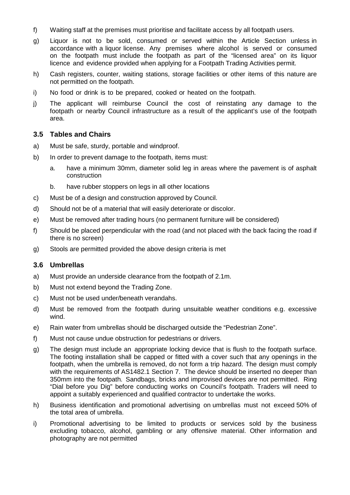- f) Waiting staff at the premises must prioritise and facilitate access by all footpath users.
- g) Liquor is not to be sold, consumed or served within the Article Section unless in accordance with a liquor license. Any premises where alcohol is served or consumed on the footpath must include the footpath as part of the "licensed area" on its liquor licence and evidence provided when applying for a Footpath Trading Activities permit.
- h) Cash registers, counter, waiting stations, storage facilities or other items of this nature are not permitted on the footpath.
- i) No food or drink is to be prepared, cooked or heated on the footpath.
- j) The applicant will reimburse Council the cost of reinstating any damage to the footpath or nearby Council infrastructure as a result of the applicant's use of the footpath area.

#### **3.5 Tables and Chairs**

- a) Must be safe, sturdy, portable and windproof.
- b) In order to prevent damage to the footpath, items must:
	- a. have a minimum 30mm, diameter solid leg in areas where the pavement is of asphalt construction
	- b. have rubber stoppers on legs in all other locations
- c) Must be of a design and construction approved by Council.
- d) Should not be of a material that will easily deteriorate or discolor.
- e) Must be removed after trading hours (no permanent furniture will be considered)
- f) Should be placed perpendicular with the road (and not placed with the back facing the road if there is no screen)
- g) Stools are permitted provided the above design criteria is met

#### **3.6 Umbrellas**

- a) Must provide an underside clearance from the footpath of 2.1m.
- b) Must not extend beyond the Trading Zone.
- c) Must not be used under/beneath verandahs.
- d) Must be removed from the footpath during unsuitable weather conditions e.g. excessive wind.
- e) Rain water from umbrellas should be discharged outside the "Pedestrian Zone".
- f) Must not cause undue obstruction for pedestrians or drivers.
- g) The design must include an appropriate locking device that is flush to the footpath surface. The footing installation shall be capped or fitted with a cover such that any openings in the footpath, when the umbrella is removed, do not form a trip hazard. The design must comply with the requirements of AS1482.1 Section 7. The device should be inserted no deeper than 350mm into the footpath. Sandbags, bricks and improvised devices are not permitted. Ring "Dial before you Dig" before conducting works on Council's footpath. Traders will need to appoint a suitably experienced and qualified contractor to undertake the works.
- h) Business identification and promotional advertising on umbrellas must not exceed 50% of the total area of umbrella.
- i) Promotional advertising to be limited to products or services sold by the business excluding tobacco, alcohol, gambling or any offensive material. Other information and photography are not permitted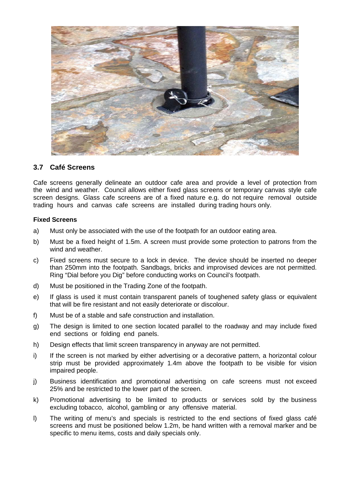

#### **3.7 Café Screens**

Cafe screens generally delineate an outdoor cafe area and provide a level of protection from the wind and weather. Council allows either fixed glass screens or temporary canvas style cafe screen designs. Glass cafe screens are of a fixed nature e.g. do not require removal outside trading hours and canvas cafe screens are installed during trading hours only.

#### **Fixed Screens**

- a) Must only be associated with the use of the footpath for an outdoor eating area.
- b) Must be a fixed height of 1.5m. A screen must provide some protection to patrons from the wind and weather.
- c) Fixed screens must secure to a lock in device. The device should be inserted no deeper than 250mm into the footpath. Sandbags, bricks and improvised devices are not permitted. Ring "Dial before you Dig" before conducting works on Council's footpath.
- d) Must be positioned in the Trading Zone of the footpath.
- e) If glass is used it must contain transparent panels of toughened safety glass or equivalent that will be fire resistant and not easily deteriorate or discolour.
- f) Must be of a stable and safe construction and installation.
- g) The design is limited to one section located parallel to the roadway and may include fixed end sections or folding end panels.
- h) Design effects that limit screen transparency in anyway are not permitted.
- i) If the screen is not marked by either advertising or a decorative pattern, a horizontal colour strip must be provided approximately 1.4m above the footpath to be visible for vision impaired people.
- j) Business identification and promotional advertising on cafe screens must not exceed 25% and be restricted to the lower part of the screen.
- k) Promotional advertising to be limited to products or services sold by the business excluding tobacco, alcohol, gambling or any offensive material.
- l) The writing of menu's and specials is restricted to the end sections of fixed glass café screens and must be positioned below 1.2m, be hand written with a removal marker and be specific to menu items, costs and daily specials only.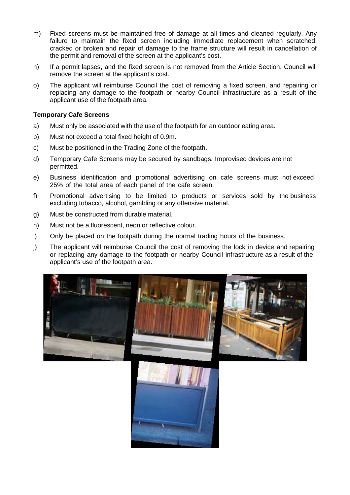- m) Fixed screens must be maintained free of damage at all times and cleaned regularly. Any failure to maintain the fixed screen including immediate replacement when scratched, cracked or broken and repair of damage to the frame structure will result in cancellation of the permit and removal of the screen at the applicant's cost.
- n) If a permit lapses, and the fixed screen is not removed from the Article Section, Council will remove the screen at the applicant's cost.
- o) The applicant will reimburse Council the cost of removing a fixed screen, and repairing or replacing any damage to the footpath or nearby Council infrastructure as a result of the applicant use of the footpath area.

#### **Temporary Cafe Screens**

- a) Must only be associated with the use of the footpath for an outdoor eating area.
- b) Must not exceed a total fixed height of 0.9m.
- c) Must be positioned in the Trading Zone of the footpath.
- d) Temporary Cafe Screens may be secured by sandbags. Improvised devices are not permitted.
- e) Business identification and promotional advertising on cafe screens must not exceed 25% of the total area of each panel of the cafe screen.
- f) Promotional advertising to be limited to products or services sold by the business excluding tobacco, alcohol, gambling or any offensive material.
- g) Must be constructed from durable material.
- h) Must not be a fluorescent, neon or reflective colour.
- i) Only be placed on the footpath during the normal trading hours of the business.
- j) The applicant will reimburse Council the cost of removing the lock in device and repairing or replacing any damage to the footpath or nearby Council infrastructure as a result of the applicant's use of the footpath area.

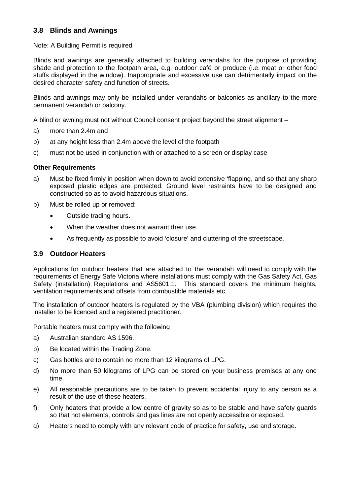#### **3.8 Blinds and Awnings**

#### Note: A Building Permit is required

Blinds and awnings are generally attached to building verandahs for the purpose of providing shade and protection to the footpath area, e.g. outdoor café or produce (i.e. meat or other food stuffs displayed in the window). Inappropriate and excessive use can detrimentally impact on the desired character safety and function of streets.

Blinds and awnings may only be installed under verandahs or balconies as ancillary to the more permanent verandah or balcony.

A blind or awning must not without Council consent project beyond the street alignment –

- a) more than 2.4m and
- b) at any height less than 2.4m above the level of the footpath
- c) must not be used in conjunction with or attached to a screen or display case

#### **Other Requirements**

- a) Must be fixed firmly in position when down to avoid extensive 'flapping, and so that any sharp exposed plastic edges are protected. Ground level restraints have to be designed and constructed so as to avoid hazardous situations.
- b) Must be rolled up or removed:
	- Outside trading hours.
	- When the weather does not warrant their use.
	- As frequently as possible to avoid 'closure' and cluttering of the streetscape.

#### **3.9 Outdoor Heaters**

Applications for outdoor heaters that are attached to the verandah will need to comply with the requirements of Energy Safe Victoria where installations must comply with the Gas Safety Act, Gas Safety (installation) Regulations and AS5601.1. This standard covers the minimum heights, ventilation requirements and offsets from combustible materials etc.

The installation of outdoor heaters is regulated by the VBA (plumbing division) which requires the installer to be licenced and a registered practitioner.

Portable heaters must comply with the following

- a) Australian standard AS 1596.
- b) Be located within the Trading Zone.
- c) Gas bottles are to contain no more than 12 kilograms of LPG.
- d) No more than 50 kilograms of LPG can be stored on your business premises at any one time.
- e) All reasonable precautions are to be taken to prevent accidental injury to any person as a result of the use of these heaters.
- f) Only heaters that provide a low centre of gravity so as to be stable and have safety guards so that hot elements, controls and gas lines are not openly accessible or exposed.
- g) Heaters need to comply with any relevant code of practice for safety, use and storage.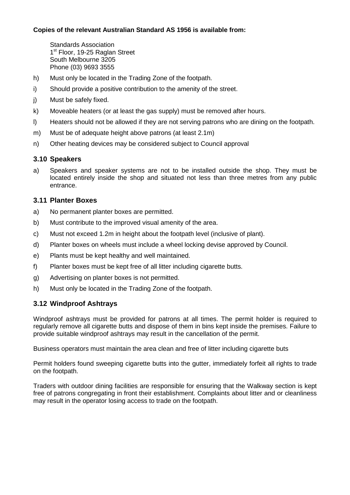#### **Copies of the relevant Australian Standard AS 1956 is available from:**

Standards Association 1<sup>st</sup> Floor, 19-25 Raglan Street South Melbourne 3205 Phone (03) 9693 3555

- h) Must only be located in the Trading Zone of the footpath.
- i) Should provide a positive contribution to the amenity of the street.
- j) Must be safely fixed.
- k) Moveable heaters (or at least the gas supply) must be removed after hours.
- l) Heaters should not be allowed if they are not serving patrons who are dining on the footpath.
- m) Must be of adequate height above patrons (at least 2.1m)
- n) Other heating devices may be considered subject to Council approval

#### **3.10 Speakers**

a) Speakers and speaker systems are not to be installed outside the shop. They must be located entirely inside the shop and situated not less than three metres from any public entrance.

#### **3.11 Planter Boxes**

- a) No permanent planter boxes are permitted.
- b) Must contribute to the improved visual amenity of the area.
- c) Must not exceed 1.2m in height about the footpath level (inclusive of plant).
- d) Planter boxes on wheels must include a wheel locking devise approved by Council.
- e) Plants must be kept healthy and well maintained.
- f) Planter boxes must be kept free of all litter including cigarette butts.
- g) Advertising on planter boxes is not permitted.
- h) Must only be located in the Trading Zone of the footpath.

#### **3.12 Windproof Ashtrays**

Windproof ashtrays must be provided for patrons at all times. The permit holder is required to regularly remove all cigarette butts and dispose of them in bins kept inside the premises. Failure to provide suitable windproof ashtrays may result in the cancellation of the permit.

Business operators must maintain the area clean and free of litter including cigarette buts

Permit holders found sweeping cigarette butts into the gutter, immediately forfeit all rights to trade on the footpath.

Traders with outdoor dining facilities are responsible for ensuring that the Walkway section is kept free of patrons congregating in front their establishment. Complaints about litter and or cleanliness may result in the operator losing access to trade on the footpath.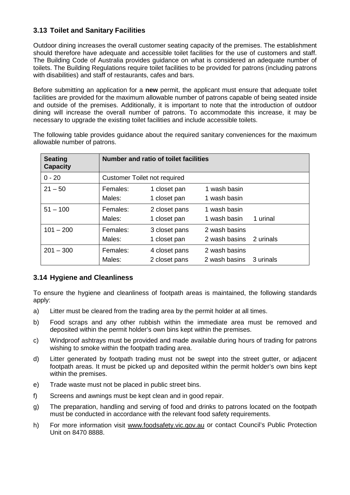## **3.13 Toilet and Sanitary Facilities**

Outdoor dining increases the overall customer seating capacity of the premises. The establishment should therefore have adequate and accessible toilet facilities for the use of customers and staff. The Building Code of Australia provides guidance on what is considered an adequate number of toilets. The Building Regulations require toilet facilities to be provided for patrons (including patrons with disabilities) and staff of restaurants, cafes and bars.

Before submitting an application for a **new** permit, the applicant must ensure that adequate toilet facilities are provided for the maximum allowable number of patrons capable of being seated inside and outside of the premises. Additionally, it is important to note that the introduction of outdoor dining will increase the overall number of patrons. To accommodate this increase, it may be necessary to upgrade the existing toilet facilities and include accessible toilets.

The following table provides guidance about the required sanitary conveniences for the maximum allowable number of patrons.

| <b>Seating</b><br><b>Capacity</b> | <b>Number and ratio of toilet facilities</b> |               |               |           |  |  |
|-----------------------------------|----------------------------------------------|---------------|---------------|-----------|--|--|
| $0 - 20$                          | <b>Customer Toilet not required</b>          |               |               |           |  |  |
| $21 - 50$                         | Females:                                     | 1 closet pan  | 1 wash basin  |           |  |  |
|                                   | Males:                                       | 1 closet pan  | 1 wash basin  |           |  |  |
| $51 - 100$                        | Females:                                     | 2 closet pans | 1 wash basin  |           |  |  |
|                                   | Males:                                       | 1 closet pan  | 1 wash basin  | 1 urinal  |  |  |
| $101 - 200$                       | Females:                                     | 3 closet pans | 2 wash basins |           |  |  |
|                                   | Males:                                       | 1 closet pan  | 2 wash basins | 2 urinals |  |  |
| $201 - 300$                       | Females:                                     | 4 closet pans | 2 wash basins |           |  |  |
|                                   | Males:                                       | 2 closet pans | 2 wash basins | 3 urinals |  |  |

#### **3.14 Hygiene and Cleanliness**

To ensure the hygiene and cleanliness of footpath areas is maintained, the following standards apply:

- a) Litter must be cleared from the trading area by the permit holder at all times.
- b) Food scraps and any other rubbish within the immediate area must be removed and deposited within the permit holder's own bins kept within the premises.
- c) Windproof ashtrays must be provided and made available during hours of trading for patrons wishing to smoke within the footpath trading area.
- d) Litter generated by footpath trading must not be swept into the street gutter, or adjacent footpath areas. It must be picked up and deposited within the permit holder's own bins kept within the premises.
- e) Trade waste must not be placed in public street bins.
- f) Screens and awnings must be kept clean and in good repair.
- g) The preparation, handling and serving of food and drinks to patrons located on the footpath must be conducted in accordance with the relevant food safety requirements.
- h) For more information visit [www.foodsafety.vic.gov.au](http://www.foodsafety.vic.gov.au/) or contact Council's Public Protection Unit on 8470 8888.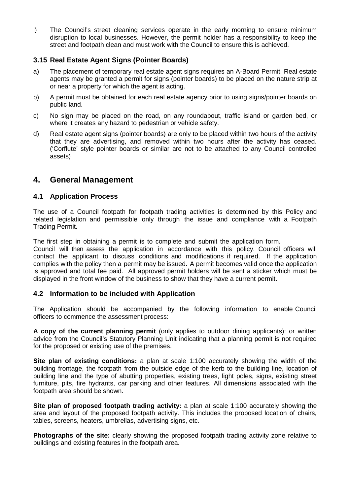i) The Council's street cleaning services operate in the early morning to ensure minimum disruption to local businesses. However, the permit holder has a responsibility to keep the street and footpath clean and must work with the Council to ensure this is achieved.

#### **3.15 Real Estate Agent Signs (Pointer Boards)**

- a) The placement of temporary real estate agent signs requires an A-Board Permit. Real estate agents may be granted a permit for signs (pointer boards) to be placed on the nature strip at or near a property for which the agent is acting.
- b) A permit must be obtained for each real estate agency prior to using signs/pointer boards on public land.
- c) No sign may be placed on the road, on any roundabout, traffic island or garden bed, or where it creates any hazard to pedestrian or vehicle safety.
- d) Real estate agent signs (pointer boards) are only to be placed within two hours of the activity that they are advertising, and removed within two hours after the activity has ceased. ('Corflute' style pointer boards or similar are not to be attached to any Council controlled assets)

## **4. General Management**

#### **4.1 Application Process**

The use of a Council footpath for footpath trading activities is determined by this Policy and related legislation and permissible only through the issue and compliance with a Footpath Trading Permit.

The first step in obtaining a permit is to complete and submit the application form.

Council will then assess the application in accordance with this policy. Council officers will contact the applicant to discuss conditions and modifications if required. If the application complies with the policy then a permit may be issued. A permit becomes valid once the application is approved and total fee paid. All approved permit holders will be sent a sticker which must be displayed in the front window of the business to show that they have a current permit.

#### **4.2 Information to be included with Application**

The Application should be accompanied by the following information to enable Council officers to commence the assessment process:

**A copy of the current planning permit** (only applies to outdoor dining applicants): or written advice from the Council's Statutory Planning Unit indicating that a planning permit is not required for the proposed or existing use of the premises.

**Site plan of existing conditions:** a plan at scale 1:100 accurately showing the width of the building frontage, the footpath from the outside edge of the kerb to the building line, location of building line and the type of abutting properties, existing trees, light poles, signs, existing street furniture, pits, fire hydrants, car parking and other features. All dimensions associated with the footpath area should be shown.

**Site plan of proposed footpath trading activity:** a plan at scale 1:100 accurately showing the area and layout of the proposed footpath activity. This includes the proposed location of chairs, tables, screens, heaters, umbrellas, advertising signs, etc.

**Photographs of the site:** clearly showing the proposed footpath trading activity zone relative to buildings and existing features in the footpath area.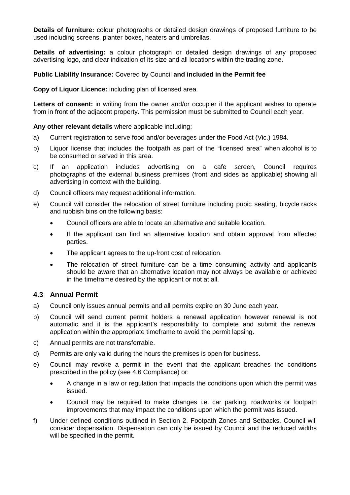**Details of furniture:** colour photographs or detailed design drawings of proposed furniture to be used including screens, planter boxes, heaters and umbrellas.

**Details of advertising:** a colour photograph or detailed design drawings of any proposed advertising logo, and clear indication of its size and all locations within the trading zone.

#### **Public Liability Insurance:** Covered by Council **and included in the Permit fee**

**Copy of Liquor Licence:** including plan of licensed area.

Letters of consent: in writing from the owner and/or occupier if the applicant wishes to operate from in front of the adjacent property. This permission must be submitted to Council each year.

**Any other relevant details** where applicable including;

- a) Current registration to serve food and/or beverages under the Food Act (Vic.) 1984.
- b) Liquor license that includes the footpath as part of the "licensed area" when alcohol is to be consumed or served in this area.
- c) If an application includes advertising on a cafe screen, Council requires photographs of the external business premises (front and sides as applicable) showing all advertising in context with the building.
- d) Council officers may request additional information.
- e) Council will consider the relocation of street furniture including pubic seating, bicycle racks and rubbish bins on the following basis:
	- Council officers are able to locate an alternative and suitable location.
	- If the applicant can find an alternative location and obtain approval from affected parties.
	- The applicant agrees to the up-front cost of relocation.
	- The relocation of street furniture can be a time consuming activity and applicants should be aware that an alternative location may not always be available or achieved in the timeframe desired by the applicant or not at all.

#### **4.3 Annual Permit**

- a) Council only issues annual permits and all permits expire on 30 June each year.
- b) Council will send current permit holders a renewal application however renewal is not automatic and it is the applicant's responsibility to complete and submit the renewal application within the appropriate timeframe to avoid the permit lapsing.
- c) Annual permits are not transferrable.
- d) Permits are only valid during the hours the premises is open for business.
- e) Council may revoke a permit in the event that the applicant breaches the conditions prescribed in the policy (see 4.6 Compliance) or:
	- A change in a law or regulation that impacts the conditions upon which the permit was issued.
	- Council may be required to make changes i.e. car parking, roadworks or footpath improvements that may impact the conditions upon which the permit was issued.
- f) Under defined conditions outlined in Section 2. Footpath Zones and Setbacks, Council will consider dispensation. Dispensation can only be issued by Council and the reduced widths will be specified in the permit.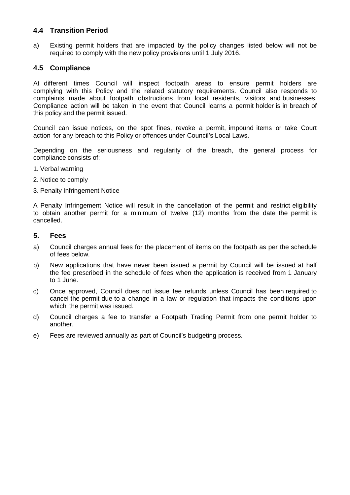#### **4.4 Transition Period**

a) Existing permit holders that are impacted by the policy changes listed below will not be required to comply with the new policy provisions until 1 July 2016.

#### **4.5 Compliance**

At different times Council will inspect footpath areas to ensure permit holders are complying with this Policy and the related statutory requirements. Council also responds to complaints made about footpath obstructions from local residents, visitors and businesses. Compliance action will be taken in the event that Council learns a permit holder is in breach of this policy and the permit issued.

Council can issue notices, on the spot fines, revoke a permit, impound items or take Court action for any breach to this Policy or offences under Council's Local Laws.

Depending on the seriousness and regularity of the breach, the general process for compliance consists of:

- 1. Verbal warning
- 2. Notice to comply
- 3. Penalty Infringement Notice

A Penalty Infringement Notice will result in the cancellation of the permit and restrict eligibility to obtain another permit for a minimum of twelve (12) months from the date the permit is cancelled.

#### **5. Fees**

- a) Council charges annual fees for the placement of items on the footpath as per the schedule of fees below.
- b) New applications that have never been issued a permit by Council will be issued at half the fee prescribed in the schedule of fees when the application is received from 1 January to 1 June.
- c) Once approved, Council does not issue fee refunds unless Council has been required to cancel the permit due to a change in a law or regulation that impacts the conditions upon which the permit was issued.
- d) Council charges a fee to transfer a Footpath Trading Permit from one permit holder to another.
- e) Fees are reviewed annually as part of Council's budgeting process.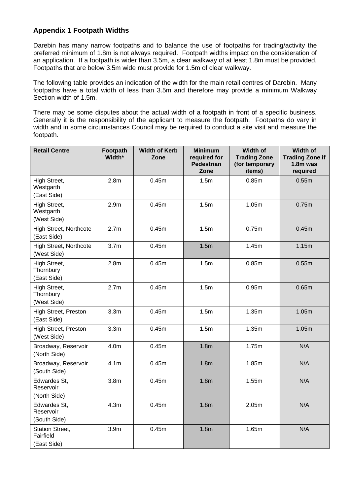## **Appendix 1 Footpath Widths**

Darebin has many narrow footpaths and to balance the use of footpaths for trading/activity the preferred minimum of 1.8m is not always required. Footpath widths impact on the consideration of an application. If a footpath is wider than 3.5m, a clear walkway of at least 1.8m must be provided. Footpaths that are below 3.5m wide must provide for 1.5m of clear walkway.

The following table provides an indication of the width for the main retail centres of Darebin. Many footpaths have a total width of less than 3.5m and therefore may provide a minimum Walkway Section width of 1.5m.

There may be some disputes about the actual width of a footpath in front of a specific business. Generally it is the responsibility of the applicant to measure the footpath. Footpaths do vary in width and in some circumstances Council may be required to conduct a site visit and measure the footpath.

| <b>Retail Centre</b>                               | Footpath<br>Width* | <b>Width of Kerb</b><br>Zone | <b>Minimum</b><br>required for<br><b>Pedestrian</b><br>Zone | Width of<br><b>Trading Zone</b><br>(for temporary<br>items) | Width of<br><b>Trading Zone if</b><br>$1.8m$ was<br>required |
|----------------------------------------------------|--------------------|------------------------------|-------------------------------------------------------------|-------------------------------------------------------------|--------------------------------------------------------------|
| High Street,<br>Westgarth<br>(East Side)           | 2.8 <sub>m</sub>   | 0.45m                        | 1.5 <sub>m</sub>                                            | 0.85 <sub>m</sub>                                           | 0.55m                                                        |
| High Street,<br>Westgarth<br>(West Side)           | 2.9 <sub>m</sub>   | 0.45m                        | 1.5 <sub>m</sub>                                            | 1.05m                                                       | 0.75m                                                        |
| High Street, Northcote<br>(East Side)              | 2.7 <sub>m</sub>   | 0.45m                        | 1.5m                                                        | 0.75m                                                       | 0.45m                                                        |
| High Street, Northcote<br>(West Side)              | 3.7 <sub>m</sub>   | 0.45m                        | 1.5m                                                        | 1.45m                                                       | 1.15m                                                        |
| High Street,<br>Thornbury<br>(East Side)           | 2.8 <sub>m</sub>   | 0.45m                        | 1.5 <sub>m</sub>                                            | 0.85m                                                       | 0.55m                                                        |
| High Street,<br>Thornbury<br>(West Side)           | 2.7 <sub>m</sub>   | 0.45m                        | 1.5m                                                        | 0.95m                                                       | 0.65m                                                        |
| High Street, Preston<br>(East Side)                | 3.3 <sub>m</sub>   | 0.45m                        | 1.5m                                                        | 1.35m                                                       | 1.05m                                                        |
| High Street, Preston<br>(West Side)                | 3.3 <sub>m</sub>   | 0.45m                        | 1.5m                                                        | 1.35m                                                       | 1.05m                                                        |
| Broadway, Reservoir<br>(North Side)                | 4.0m               | 0.45m                        | 1.8 <sub>m</sub>                                            | 1.75m                                                       | N/A                                                          |
| Broadway, Reservoir<br>(South Side)                | 4.1 <sub>m</sub>   | 0.45m                        | 1.8 <sub>m</sub>                                            | 1.85m                                                       | N/A                                                          |
| Edwardes St,<br>Reservoir<br>(North Side)          | 3.8 <sub>m</sub>   | 0.45m                        | 1.8 <sub>m</sub>                                            | 1.55m                                                       | N/A                                                          |
| Edwardes St,<br>Reservoir<br>(South Side)          | 4.3 <sub>m</sub>   | 0.45m                        | 1.8 <sub>m</sub>                                            | 2.05m                                                       | N/A                                                          |
| <b>Station Street,</b><br>Fairfield<br>(East Side) | 3.9 <sub>m</sub>   | 0.45m                        | 1.8 <sub>m</sub>                                            | 1.65m                                                       | N/A                                                          |